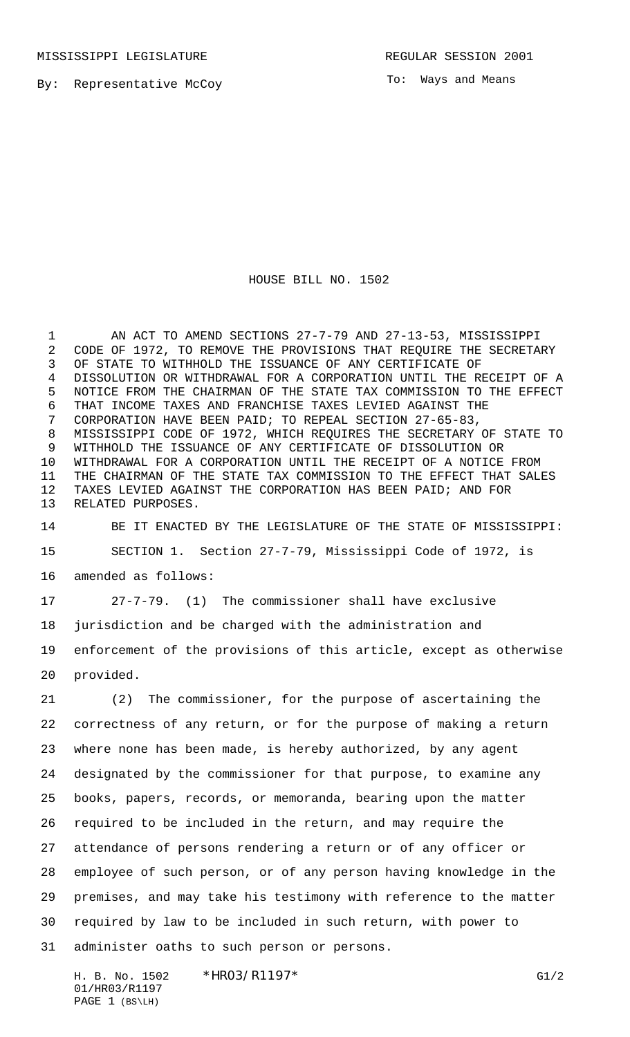MISSISSIPPI LEGISLATURE **REGULAR SESSION 2001** 

To: Ways and Means

## HOUSE BILL NO. 1502

 AN ACT TO AMEND SECTIONS 27-7-79 AND 27-13-53, MISSISSIPPI CODE OF 1972, TO REMOVE THE PROVISIONS THAT REQUIRE THE SECRETARY OF STATE TO WITHHOLD THE ISSUANCE OF ANY CERTIFICATE OF DISSOLUTION OR WITHDRAWAL FOR A CORPORATION UNTIL THE RECEIPT OF A NOTICE FROM THE CHAIRMAN OF THE STATE TAX COMMISSION TO THE EFFECT THAT INCOME TAXES AND FRANCHISE TAXES LEVIED AGAINST THE CORPORATION HAVE BEEN PAID; TO REPEAL SECTION 27-65-83, MISSISSIPPI CODE OF 1972, WHICH REQUIRES THE SECRETARY OF STATE TO WITHHOLD THE ISSUANCE OF ANY CERTIFICATE OF DISSOLUTION OR WITHDRAWAL FOR A CORPORATION UNTIL THE RECEIPT OF A NOTICE FROM THE CHAIRMAN OF THE STATE TAX COMMISSION TO THE EFFECT THAT SALES TAXES LEVIED AGAINST THE CORPORATION HAS BEEN PAID; AND FOR RELATED PURPOSES.

 BE IT ENACTED BY THE LEGISLATURE OF THE STATE OF MISSISSIPPI: SECTION 1. Section 27-7-79, Mississippi Code of 1972, is amended as follows:

27-7-79. (1) The commissioner shall have exclusive

jurisdiction and be charged with the administration and

 enforcement of the provisions of this article, except as otherwise provided.

 (2) The commissioner, for the purpose of ascertaining the correctness of any return, or for the purpose of making a return where none has been made, is hereby authorized, by any agent designated by the commissioner for that purpose, to examine any books, papers, records, or memoranda, bearing upon the matter required to be included in the return, and may require the attendance of persons rendering a return or of any officer or employee of such person, or of any person having knowledge in the premises, and may take his testimony with reference to the matter required by law to be included in such return, with power to administer oaths to such person or persons.

H. B. No. 1502 \*HRO3/R1197\* G1/2 01/HR03/R1197 PAGE 1 (BS\LH)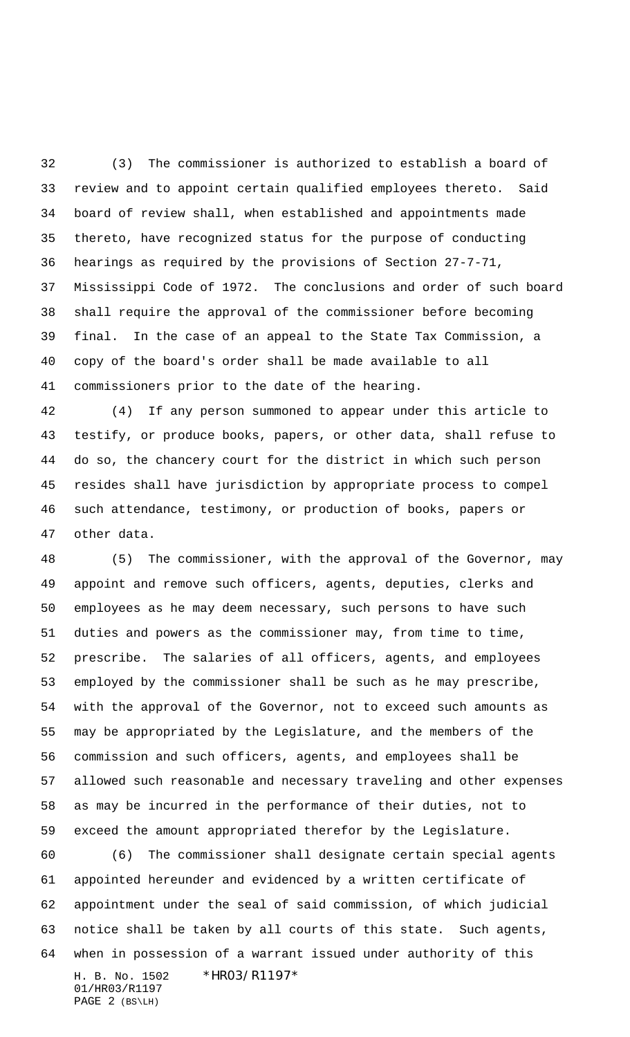(3) The commissioner is authorized to establish a board of review and to appoint certain qualified employees thereto. Said board of review shall, when established and appointments made thereto, have recognized status for the purpose of conducting hearings as required by the provisions of Section 27-7-71, Mississippi Code of 1972. The conclusions and order of such board shall require the approval of the commissioner before becoming final. In the case of an appeal to the State Tax Commission, a copy of the board's order shall be made available to all commissioners prior to the date of the hearing.

 (4) If any person summoned to appear under this article to testify, or produce books, papers, or other data, shall refuse to do so, the chancery court for the district in which such person resides shall have jurisdiction by appropriate process to compel such attendance, testimony, or production of books, papers or other data.

 (5) The commissioner, with the approval of the Governor, may appoint and remove such officers, agents, deputies, clerks and employees as he may deem necessary, such persons to have such duties and powers as the commissioner may, from time to time, prescribe. The salaries of all officers, agents, and employees employed by the commissioner shall be such as he may prescribe, with the approval of the Governor, not to exceed such amounts as may be appropriated by the Legislature, and the members of the commission and such officers, agents, and employees shall be allowed such reasonable and necessary traveling and other expenses as may be incurred in the performance of their duties, not to exceed the amount appropriated therefor by the Legislature.

H. B. No. 1502 \*HR03/R1197\* 01/HR03/R1197 PAGE 2 (BS\LH) (6) The commissioner shall designate certain special agents appointed hereunder and evidenced by a written certificate of appointment under the seal of said commission, of which judicial notice shall be taken by all courts of this state. Such agents, when in possession of a warrant issued under authority of this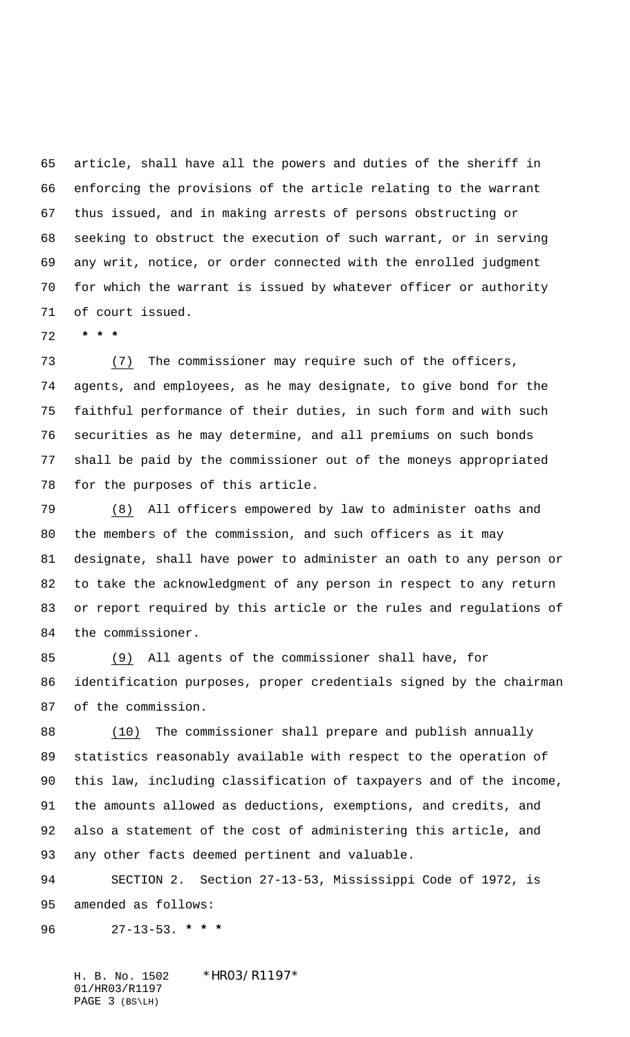article, shall have all the powers and duties of the sheriff in enforcing the provisions of the article relating to the warrant thus issued, and in making arrests of persons obstructing or seeking to obstruct the execution of such warrant, or in serving any writ, notice, or order connected with the enrolled judgment for which the warrant is issued by whatever officer or authority of court issued.

 **\* \* \***

 (7) The commissioner may require such of the officers, agents, and employees, as he may designate, to give bond for the faithful performance of their duties, in such form and with such securities as he may determine, and all premiums on such bonds shall be paid by the commissioner out of the moneys appropriated for the purposes of this article.

 (8) All officers empowered by law to administer oaths and the members of the commission, and such officers as it may designate, shall have power to administer an oath to any person or to take the acknowledgment of any person in respect to any return or report required by this article or the rules and regulations of the commissioner.

 (9) All agents of the commissioner shall have, for identification purposes, proper credentials signed by the chairman of the commission.

 (10) The commissioner shall prepare and publish annually statistics reasonably available with respect to the operation of this law, including classification of taxpayers and of the income, the amounts allowed as deductions, exemptions, and credits, and also a statement of the cost of administering this article, and any other facts deemed pertinent and valuable.

 SECTION 2. Section 27-13-53, Mississippi Code of 1972, is amended as follows:

27-13-53. **\* \* \***

H. B. No. 1502 \*HR03/R1197\* 01/HR03/R1197 PAGE 3 (BS\LH)